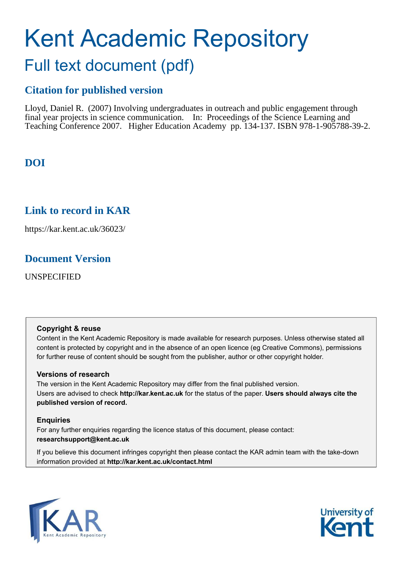# Kent Academic Repository Full text document (pdf)

## **Citation for published version**

Lloyd, Daniel R. (2007) Involving undergraduates in outreach and public engagement through final year projects in science communication. In: Proceedings of the Science Learning and Teaching Conference 2007. Higher Education Academy pp. 134-137. ISBN 978-1-905788-39-2.

## **DOI**

## **Link to record in KAR**

https://kar.kent.ac.uk/36023/

## **Document Version**

UNSPECIFIED

#### **Copyright & reuse**

Content in the Kent Academic Repository is made available for research purposes. Unless otherwise stated all content is protected by copyright and in the absence of an open licence (eg Creative Commons), permissions for further reuse of content should be sought from the publisher, author or other copyright holder.

#### **Versions of research**

The version in the Kent Academic Repository may differ from the final published version. Users are advised to check **http://kar.kent.ac.uk** for the status of the paper. **Users should always cite the published version of record.**

#### **Enquiries**

For any further enquiries regarding the licence status of this document, please contact: **researchsupport@kent.ac.uk**

If you believe this document infringes copyright then please contact the KAR admin team with the take-down information provided at **http://kar.kent.ac.uk/contact.html**



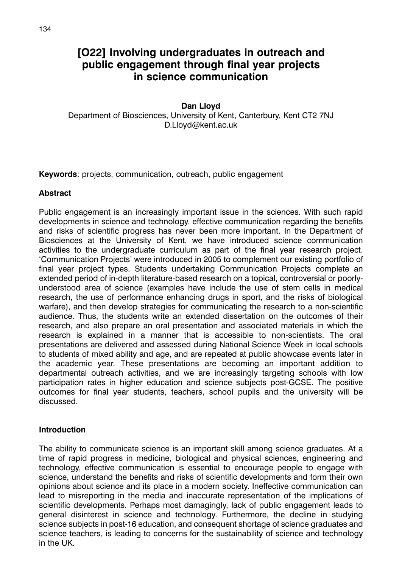## **[O22] Involving undergraduates in outreach and public engagement through final year projects in science communication**

## **Dan Lloyd**

Department of Biosciences, University of Kent, Canterbury, Kent CT2 7NJ D.Lloyd@kent.ac.uk

**Keywords**: projects, communication, outreach, public engagement

## **Abstract**

Public engagement is an increasingly important issue in the sciences. With such rapid developments in science and technology, effective communication regarding the benefits and risks of scientific progress has never been more important. In the Department of Biosciences at the University of Kent, we have introduced science communication activities to the undergraduate curriculum as part of the final year research project. 'Communication Projects' were introduced in 2005 to complement our existing portfolio of final year project types. Students undertaking Communication Projects complete an extended period of in-depth literature-based research on a topical, controversial or poorlyunderstood area of science (examples have include the use of stem cells in medical research, the use of performance enhancing drugs in sport, and the risks of biological warfare), and then develop strategies for communicating the research to a non-scientific audience. Thus, the students write an extended dissertation on the outcomes of their research, and also prepare an oral presentation and associated materials in which the research is explained in a manner that is accessible to non-scientists. The oral presentations are delivered and assessed during National Science Week in local schools to students of mixed ability and age, and are repeated at public showcase events later in the academic year. These presentations are becoming an important addition to departmental outreach activities, and we are increasingly targeting schools with low participation rates in higher education and science subjects post-GCSE. The positive outcomes for final year students, teachers, school pupils and the university will be discussed.

#### **Introduction**

The ability to communicate science is an important skill among science graduates. At a time of rapid progress in medicine, biological and physical sciences, engineering and technology, effective communication is essential to encourage people to engage with science, understand the benefits and risks of scientific developments and form their own opinions about science and its place in a modern society. Ineffective communication can lead to misreporting in the media and inaccurate representation of the implications of scientific developments. Perhaps most damagingly, lack of public engagement leads to general disinterest in science and technology. Furthermore, the decline in studying science subjects in post-16 education, and consequent shortage of science graduates and science teachers, is leading to concerns for the sustainability of science and technology in the UK.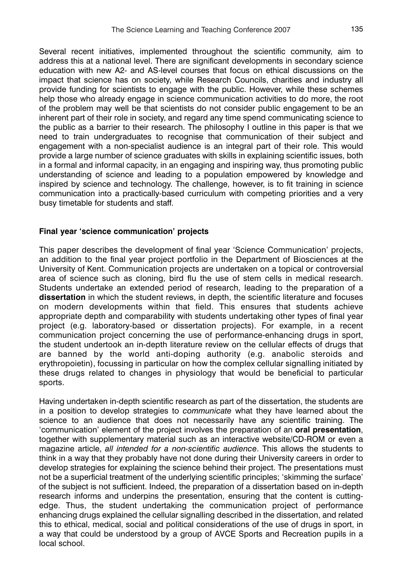Several recent initiatives, implemented throughout the scientific community, aim to address this at a national level. There are significant developments in secondary science education with new A2- and AS-level courses that focus on ethical discussions on the impact that science has on society, while Research Councils, charities and industry all provide funding for scientists to engage with the public. However, while these schemes help those who already engage in science communication activities to do more, the root of the problem may well be that scientists do not consider public engagement to be an inherent part of their role in society, and regard any time spend communicating science to the public as a barrier to their research. The philosophy I outline in this paper is that we need to train undergraduates to recognise that communication of their subject and engagement with a non-specialist audience is an integral part of their role. This would provide a large number of science graduates with skills in explaining scientific issues, both in a formal and informal capacity, in an engaging and inspiring way, thus promoting public understanding of science and leading to a population empowered by knowledge and inspired by science and technology. The challenge, however, is to fit training in science communication into a practically-based curriculum with competing priorities and a very busy timetable for students and staff.

## **Final year 'science communication' projects**

This paper describes the development of final year 'Science Communication' projects, an addition to the final year project portfolio in the Department of Biosciences at the University of Kent. Communication projects are undertaken on a topical or controversial area of science such as cloning, bird flu the use of stem cells in medical research. Students undertake an extended period of research, leading to the preparation of a **dissertation** in which the student reviews, in depth, the scientific literature and focuses on modern developments within that field. This ensures that students achieve appropriate depth and comparability with students undertaking other types of final year project (e.g. laboratory-based or dissertation projects). For example, in a recent communication project concerning the use of performance-enhancing drugs in sport, the student undertook an in-depth literature review on the cellular effects of drugs that are banned by the world anti-doping authority (e.g. anabolic steroids and erythropoietin), focussing in particular on how the complex cellular signalling initiated by these drugs related to changes in physiology that would be beneficial to particular sports.

Having undertaken in-depth scientific research as part of the dissertation, the students are in a position to develop strategies to *communicate* what they have learned about the science to an audience that does not necessarily have any scientific training. The 'communication' element of the project involves the preparation of an **oral presentation**, together with supplementary material such as an interactive website/CD-ROM or even a magazine article, *all intended for a non-scientific audience*. This allows the students to think in a way that they probably have not done during their University careers in order to develop strategies for explaining the science behind their project. The presentations must not be a superficial treatment of the underlying scientific principles; 'skimming the surface' of the subject is not sufficient. Indeed, the preparation of a dissertation based on in-depth research informs and underpins the presentation, ensuring that the content is cuttingedge. Thus, the student undertaking the communication project of performance enhancing drugs explained the cellular signalling described in the dissertation, and related this to ethical, medical, social and political considerations of the use of drugs in sport, in a way that could be understood by a group of AVCE Sports and Recreation pupils in a local school.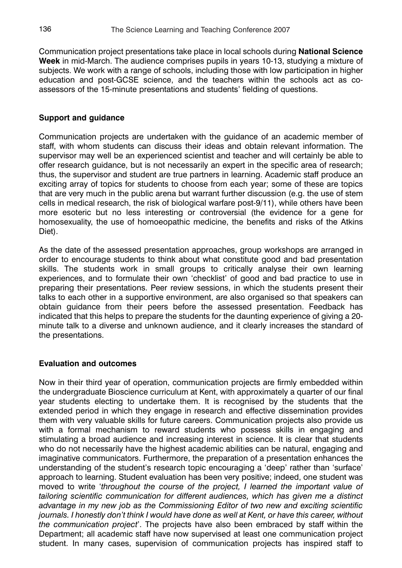Communication project presentations take place in local schools during **National Science Week** in mid-March. The audience comprises pupils in years 10-13, studying a mixture of subjects. We work with a range of schools, including those with low participation in higher education and post-GCSE science, and the teachers within the schools act as coassessors of the 15-minute presentations and students' fielding of questions.

## **Support and guidance**

Communication projects are undertaken with the guidance of an academic member of staff, with whom students can discuss their ideas and obtain relevant information. The supervisor may well be an experienced scientist and teacher and will certainly be able to offer research guidance, but is not necessarily an expert in the specific area of research; thus, the supervisor and student are true partners in learning. Academic staff produce an exciting array of topics for students to choose from each year; some of these are topics that are very much in the public arena but warrant further discussion (e.g. the use of stem cells in medical research, the risk of biological warfare post-9/11), while others have been more esoteric but no less interesting or controversial (the evidence for a gene for homosexuality, the use of homoeopathic medicine, the benefits and risks of the Atkins Diet).

As the date of the assessed presentation approaches, group workshops are arranged in order to encourage students to think about what constitute good and bad presentation skills. The students work in small groups to critically analyse their own learning experiences, and to formulate their own 'checklist' of good and bad practice to use in preparing their presentations. Peer review sessions, in which the students present their talks to each other in a supportive environment, are also organised so that speakers can obtain guidance from their peers before the assessed presentation. Feedback has indicated that this helps to prepare the students for the daunting experience of giving a 20 minute talk to a diverse and unknown audience, and it clearly increases the standard of the presentations.

## **Evaluation and outcomes**

Now in their third year of operation, communication projects are firmly embedded within the undergraduate Bioscience curriculum at Kent, with approximately a quarter of our final year students electing to undertake them. It is recognised by the students that the extended period in which they engage in research and effective dissemination provides them with very valuable skills for future careers. Communication projects also provide us with a formal mechanism to reward students who possess skills in engaging and stimulating a broad audience and increasing interest in science. It is clear that students who do not necessarily have the highest academic abilities can be natural, engaging and imaginative communicators. Furthermore, the preparation of a presentation enhances the understanding of the student's research topic encouraging a 'deep' rather than 'surface' approach to learning. Student evaluation has been very positive; indeed, one student was moved to write '*throughout the course of the project, I learned the important value of tailoring scientific communication for different audiences, which has given me a distinct advantage in my new job as the Commissioning Editor of two new and exciting scientific journals. I honestly don't think I would have done as well at Kent, or have this career, without the communication project*'. The projects have also been embraced by staff within the Department; all academic staff have now supervised at least one communication project student. In many cases, supervision of communication projects has inspired staff to